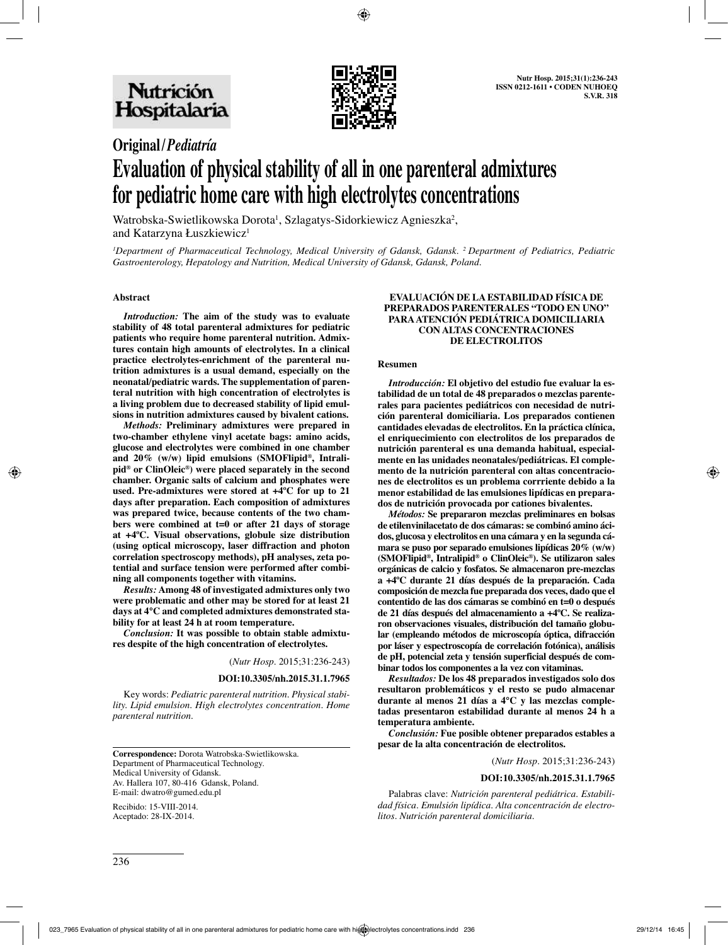

# **Original/***Pediatría* **Evaluation of physical stability of all in one parenteral admixtures for pediatric home care with high electrolytes concentrations**

Watrobska-Swietlikowska Dorota<sup>1</sup>, Szlagatys-Sidorkiewicz Agnieszka<sup>2</sup>, and Katarzyna Łuszkiewicz<sup>1</sup>

*1 Department of Pharmaceutical Technology, Medical University of Gdansk, Gdansk. 2 Department of Pediatrics, Pediatric Gastroenterology, Hepatology and Nutrition, Medical University of Gdansk, Gdansk, Poland.*

#### **Abstract**

*Introduction:* **The aim of the study was to evaluate stability of 48 total parenteral admixtures for pediatric patients who require home parenteral nutrition. Admixtures contain high amounts of electrolytes. In a clinical practice electrolytes-enrichment of the parenteral nutrition admixtures is a usual demand, especially on the neonatal/pediatric wards. The supplementation of parenteral nutrition with high concentration of electrolytes is a living problem due to decreased stability of lipid emulsions in nutrition admixtures caused by bivalent cations.**

*Methods:* **Preliminary admixtures were prepared in two-chamber ethylene vinyl acetate bags: amino acids, glucose and electrolytes were combined in one chamber and 20% (w/w) lipid emulsions (SMOFlipid®, Intralipid® or ClinOleic®) were placed separately in the second chamber. Organic salts of calcium and phosphates were used. Pre-admixtures were stored at +4ºC for up to 21 days after preparation. Each composition of admixtures was prepared twice, because contents of the two chambers were combined at t=0 or after 21 days of storage at +4ºC. Visual observations, globule size distribution (using optical microscopy, laser diffraction and photon correlation spectroscopy methods), pH analyses, zeta potential and surface tension were performed after combining all components together with vitamins.** 

*Results:* **Among 48 of investigated admixtures only two were problematic and other may be stored for at least 21 days at 4°C and completed admixtures demonstrated stability for at least 24 h at room temperature.**

*Conclusion:* **It was possible to obtain stable admixtures despite of the high concentration of electrolytes.** 

(*Nutr Hosp.* 2015;31:236-243)

#### **DOI:10.3305/nh.2015.31.1.7965**

Key words: *Pediatric parenteral nutrition. Physical stability. Lipid emulsion. High electrolytes concentration. Home parenteral nutrition.*

**Correspondence:** Dorota Watrobska-Swietlikowska. Department of Pharmaceutical Technology. Medical University of Gdansk. Av. Hallera 107, 80-416 Gdansk, Poland. E-mail: dwatro@gumed.edu.pl

Recibido: 15-VIII-2014. Aceptado: 28-IX-2014.

#### **EVALUACIÓN DE LA ESTABILIDAD FÍSICA DE PREPARADOS PARENTERALES "TODO EN UNO" PARA ATENCIÓN PEDIÁTRICA DOMICILIARIA CON ALTAS CONCENTRACIONES DE ELECTROLITOS**

#### **Resumen**

*Introducción:* **El objetivo del estudio fue evaluar la estabilidad de un total de 48 preparados o mezclas parenterales para pacientes pediátricos con necesidad de nutrición parenteral domiciliaria. Los preparados contienen cantidades elevadas de electrolitos. En la práctica clínica, el enriquecimiento con electrolitos de los preparados de nutrición parenteral es una demanda habitual, especialmente en las unidades neonatales/pediátricas. El complemento de la nutrición parenteral con altas concentraciones de electrolitos es un problema corrriente debido a la menor estabilidad de las emulsiones lipídicas en preparados de nutrición provocada por cationes bivalentes.**

*Métodos:* **Se prepararon mezclas preliminares en bolsas de etilenvinilacetato de dos cámaras: se combinó amino ácidos, glucosa y electrolitos en una cámara y en la segunda cámara se puso por separado emulsiones lipídicas 20% (w/w) (SMOFlipid®, Intralipid® o ClinOleic®). Se utilizaron sales orgánicas de calcio y fosfatos. Se almacenaron pre-mezclas a +4ºC durante 21 días después de la preparación. Cada composición de mezcla fue preparada dos veces, dado que el contentido de las dos cámaras se combinó en t=0 o después de 21 días después del almacenamiento a +4ºC. Se realizaron observaciones visuales, distribución del tamaño globular (empleando métodos de microscopía óptica, difracción por láser y espectroscopía de correlación fotónica), análisis de pH, potencial zeta y tensión superficial después de combinar todos los componentes a la vez con vitaminas.** 

*Resultados:* **De los 48 preparados investigados solo dos resultaron problemáticos y el resto se pudo almacenar durante al menos 21 días a 4°C y las mezclas completadas presentaron estabilidad durante al menos 24 h a temperatura ambiente.**

*Conclusión:* **Fue posible obtener preparados estables a pesar de la alta concentración de electrolitos.** 

(*Nutr Hosp.* 2015;31:236-243)

#### **DOI:10.3305/nh.2015.31.1.7965**

Palabras clave: *Nutrición parenteral pediátrica. Estabilidad física. Emulsión lipídica. Alta concentración de electrolitos. Nutrición parenteral domiciliaria.*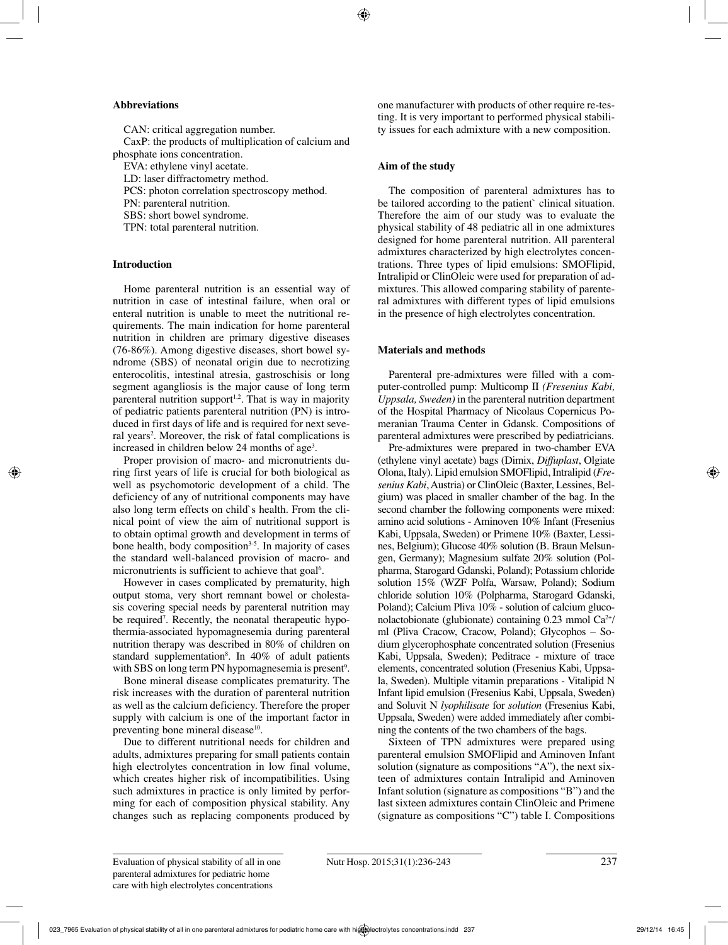#### **Abbreviations**

CAN: critical aggregation number. CaxP: the products of multiplication of calcium and phosphate ions concentration.

EVA: ethylene vinyl acetate.

LD: laser diffractometry method.

PCS: photon correlation spectroscopy method.

PN: parenteral nutrition.

SBS: short bowel syndrome.

TPN: total parenteral nutrition.

## **Introduction**

Home parenteral nutrition is an essential way of nutrition in case of intestinal failure, when oral or enteral nutrition is unable to meet the nutritional requirements. The main indication for home parenteral nutrition in children are primary digestive diseases (76-86%). Among digestive diseases, short bowel syndrome (SBS) of neonatal origin due to necrotizing enterocolitis, intestinal atresia, gastroschisis or long segment agangliosis is the major cause of long term parenteral nutrition support<sup>1,2</sup>. That is way in majority of pediatric patients parenteral nutrition (PN) is introduced in first days of life and is required for next several years<sup>2</sup>. Moreover, the risk of fatal complications is increased in children below 24 months of age<sup>3</sup>.

Proper provision of macro- and micronutrients during first years of life is crucial for both biological as well as psychomotoric development of a child. The deficiency of any of nutritional components may have also long term effects on child`s health. From the clinical point of view the aim of nutritional support is to obtain optimal growth and development in terms of bone health, body composition<sup>3-5</sup>. In majority of cases the standard well-balanced provision of macro- and micronutrients is sufficient to achieve that goal<sup>6</sup>.

However in cases complicated by prematurity, high output stoma, very short remnant bowel or cholestasis covering special needs by parenteral nutrition may be required7 . Recently, the neonatal therapeutic hypothermia-associated hypomagnesemia during parenteral nutrition therapy was described in 80% of children on standard supplementation<sup>8</sup>. In 40% of adult patients with SBS on long term PN hypomagnesemia is present<sup>9</sup>.

Bone mineral disease complicates prematurity. The risk increases with the duration of parenteral nutrition as well as the calcium deficiency. Therefore the proper supply with calcium is one of the important factor in preventing bone mineral disease<sup>10</sup>.

Due to different nutritional needs for children and adults, admixtures preparing for small patients contain high electrolytes concentration in low final volume, which creates higher risk of incompatibilities. Using such admixtures in practice is only limited by performing for each of composition physical stability. Any changes such as replacing components produced by one manufacturer with products of other require re-testing. It is very important to performed physical stability issues for each admixture with a new composition.

## **Aim of the study**

The composition of parenteral admixtures has to be tailored according to the patient` clinical situation. Therefore the aim of our study was to evaluate the physical stability of 48 pediatric all in one admixtures designed for home parenteral nutrition. All parenteral admixtures characterized by high electrolytes concentrations. Three types of lipid emulsions: SMOFlipid, Intralipid or ClinOleic were used for preparation of admixtures. This allowed comparing stability of parenteral admixtures with different types of lipid emulsions in the presence of high electrolytes concentration.

## **Materials and methods**

Parenteral pre-admixtures were filled with a computer-controlled pump: Multicomp II *(Fresenius Kabi, Uppsala, Sweden)* in the parenteral nutrition department of the Hospital Pharmacy of Nicolaus Copernicus Pomeranian Trauma Center in Gdansk. Compositions of parenteral admixtures were prescribed by pediatricians.

Pre-admixtures were prepared in two-chamber EVA (ethylene vinyl acetate) bags (Dimix, *Diffuplast*, Olgiate Olona, Italy). Lipid emulsion SMOFlipid, Intralipid (*Fresenius Kabi*, Austria) or ClinOleic (Baxter, Lessines, Belgium) was placed in smaller chamber of the bag. In the second chamber the following components were mixed: amino acid solutions - Aminoven 10% Infant (Fresenius Kabi, Uppsala, Sweden) or Primene 10% (Baxter, Lessines, Belgium); Glucose 40% solution (B. Braun Melsungen, Germany); Magnesium sulfate 20% solution (Polpharma, Starogard Gdanski, Poland); Potassium chloride solution 15% (WZF Polfa, Warsaw, Poland); Sodium chloride solution 10% (Polpharma, Starogard Gdanski, Poland); Calcium Pliva 10% - solution of calcium gluconolactobionate (glubionate) containing  $0.23$  mmol  $Ca^{2+}/$ ml (Pliva Cracow, Cracow, Poland); Glycophos – Sodium glycerophosphate concentrated solution (Fresenius Kabi, Uppsala, Sweden); Peditrace - mixture of trace elements, concentrated solution (Fresenius Kabi, Uppsala, Sweden). Multiple vitamin preparations - Vitalipid N Infant lipid emulsion (Fresenius Kabi, Uppsala, Sweden) and Soluvit N *lyophilisate* for *solution* (Fresenius Kabi, Uppsala, Sweden) were added immediately after combining the contents of the two chambers of the bags.

Sixteen of TPN admixtures were prepared using parenteral emulsion SMOFlipid and Aminoven Infant solution (signature as compositions "A"), the next sixteen of admixtures contain Intralipid and Aminoven Infant solution (signature as compositions "B") and the last sixteen admixtures contain ClinOleic and Primene (signature as compositions "C") table I. Compositions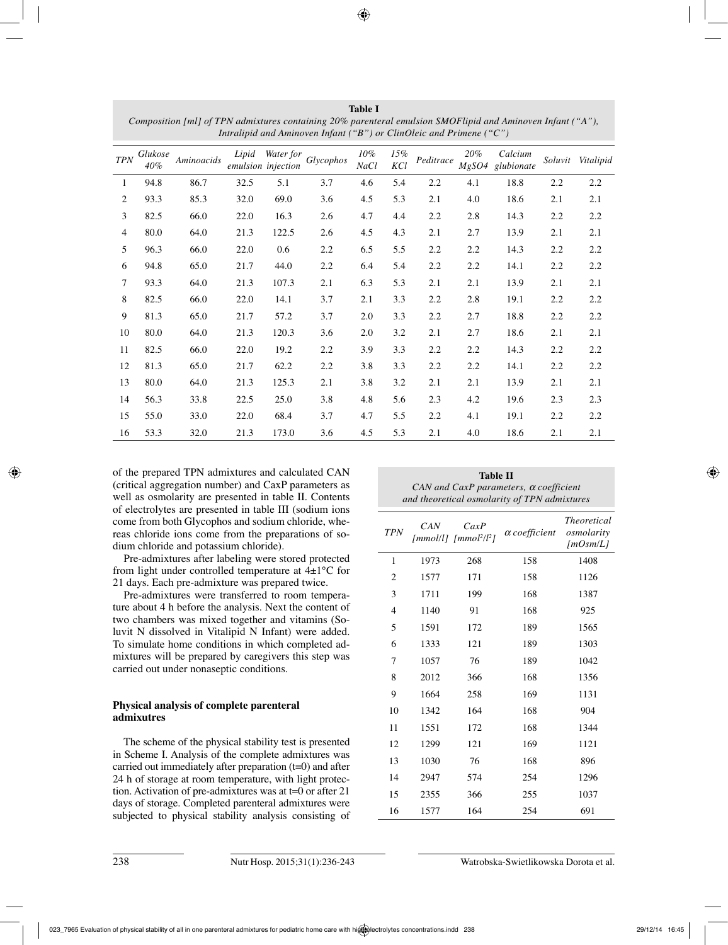| Intralipid and Aminoven Infant ("B") or ClinOleic and Primene ("C") |                |            |       |                    |                     |                |            |           |              |                       |         |           |
|---------------------------------------------------------------------|----------------|------------|-------|--------------------|---------------------|----------------|------------|-----------|--------------|-----------------------|---------|-----------|
| <b>TPN</b>                                                          | Glukose<br>40% | Aminoacids | Lipid | emulsion injection | Water for Glycophos | $10\%$<br>NaCl | 15%<br>KCl | Peditrace | 20%<br>MgSO4 | Calcium<br>glubionate | Soluvit | Vitalipid |
| 1                                                                   | 94.8           | 86.7       | 32.5  | 5.1                | 3.7                 | 4.6            | 5.4        | 2.2       | 4.1          | 18.8                  | 2.2     | 2.2       |
| $\overline{2}$                                                      | 93.3           | 85.3       | 32.0  | 69.0               | 3.6                 | 4.5            | 5.3        | 2.1       | 4.0          | 18.6                  | 2.1     | 2.1       |
| 3                                                                   | 82.5           | 66.0       | 22.0  | 16.3               | 2.6                 | 4.7            | 4.4        | 2.2       | 2.8          | 14.3                  | 2.2     | 2.2       |
| 4                                                                   | 80.0           | 64.0       | 21.3  | 122.5              | 2.6                 | 4.5            | 4.3        | 2.1       | 2.7          | 13.9                  | 2.1     | 2.1       |
| 5                                                                   | 96.3           | 66.0       | 22.0  | 0.6                | $2.2\,$             | 6.5            | 5.5        | 2.2       | 2.2          | 14.3                  | 2.2     | 2.2       |
| 6                                                                   | 94.8           | 65.0       | 21.7  | 44.0               | 2.2                 | 6.4            | 5.4        | 2.2       | 2.2          | 14.1                  | 2.2     | $2.2\,$   |
| 7                                                                   | 93.3           | 64.0       | 21.3  | 107.3              | 2.1                 | 6.3            | 5.3        | 2.1       | 2.1          | 13.9                  | 2.1     | 2.1       |
| 8                                                                   | 82.5           | 66.0       | 22.0  | 14.1               | 3.7                 | 2.1            | 3.3        | 2.2       | 2.8          | 19.1                  | 2.2     | 2.2       |
| 9                                                                   | 81.3           | 65.0       | 21.7  | 57.2               | 3.7                 | 2.0            | 3.3        | 2.2       | 2.7          | 18.8                  | 2.2     | 2.2       |
| 10                                                                  | 80.0           | 64.0       | 21.3  | 120.3              | 3.6                 | 2.0            | 3.2        | 2.1       | 2.7          | 18.6                  | 2.1     | 2.1       |
| 11                                                                  | 82.5           | 66.0       | 22.0  | 19.2               | 2.2                 | 3.9            | 3.3        | 2.2       | 2.2          | 14.3                  | 2.2     | 2.2       |
| 12                                                                  | 81.3           | 65.0       | 21.7  | 62.2               | 2.2                 | 3.8            | 3.3        | 2.2       | 2.2          | 14.1                  | 2.2     | 2.2       |
| 13                                                                  | 80.0           | 64.0       | 21.3  | 125.3              | 2.1                 | 3.8            | 3.2        | 2.1       | 2.1          | 13.9                  | 2.1     | 2.1       |
| 14                                                                  | 56.3           | 33.8       | 22.5  | 25.0               | 3.8                 | 4.8            | 5.6        | 2.3       | 4.2          | 19.6                  | 2.3     | 2.3       |
| 15                                                                  | 55.0           | 33.0       | 22.0  | 68.4               | 3.7                 | 4.7            | 5.5        | 2.2       | 4.1          | 19.1                  | 2.2     | 2.2       |
| 16                                                                  | 53.3           | 32.0       | 21.3  | 173.0              | 3.6                 | 4.5            | 5.3        | 2.1       | 4.0          | 18.6                  | 2.1     | 2.1       |

**Table I** *Composition [ml] of TPN admixtures containing 20% parenteral emulsion SMOFlipid and Aminoven Infant ("A"),* 

of the prepared TPN admixtures and calculated CAN (critical aggregation number) and CaxP parameters as well as osmolarity are presented in table II. Contents of electrolytes are presented in table III (sodium ions come from both Glycophos and sodium chloride, whereas chloride ions come from the preparations of sodium chloride and potassium chloride).

Pre-admixtures after labeling were stored protected from light under controlled temperature at 4±1°C for 21 days. Each pre-admixture was prepared twice.

Pre-admixtures were transferred to room temperature about 4 h before the analysis. Next the content of two chambers was mixed together and vitamins (Soluvit N dissolved in Vitalipid N Infant) were added. To simulate home conditions in which completed admixtures will be prepared by caregivers this step was carried out under nonaseptic conditions.

## **Physical analysis of complete parenteral admixutres**

The scheme of the physical stability test is presented in Scheme I. Analysis of the complete admixtures was carried out immediately after preparation (t=0) and after 24 h of storage at room temperature, with light protection. Activation of pre-admixtures was at t=0 or after 21 days of storage. Completed parenteral admixtures were subjected to physical stability analysis consisting of

| Table II<br>CAN and CaxP parameters, $\alpha$ coefficient<br>and theoretical osmolarity of TPN admixtures |      |                               |                      |                                              |  |  |  |
|-----------------------------------------------------------------------------------------------------------|------|-------------------------------|----------------------|----------------------------------------------|--|--|--|
| <b>TPN</b>                                                                                                | CAN  | CaxP<br>$[mmol/l] [mmol2/l2]$ | $\alpha$ coefficient | <i>Theoretical</i><br>osmolarity<br>[mOsm/L] |  |  |  |
| 1                                                                                                         | 1973 | 268                           | 158                  | 1408                                         |  |  |  |
| 2                                                                                                         | 1577 | 171                           | 158                  | 1126                                         |  |  |  |
| 3                                                                                                         | 1711 | 199                           | 168                  | 1387                                         |  |  |  |
| 4                                                                                                         | 1140 | 91                            | 168                  | 925                                          |  |  |  |
| 5                                                                                                         | 1591 | 172                           | 189                  | 1565                                         |  |  |  |
| 6                                                                                                         | 1333 | 121                           | 189                  | 1303                                         |  |  |  |
| 7                                                                                                         | 1057 | 76                            | 189                  | 1042                                         |  |  |  |
| 8                                                                                                         | 2012 | 366                           | 168                  | 1356                                         |  |  |  |
| 9                                                                                                         | 1664 | 258                           | 169                  | 1131                                         |  |  |  |
| 10                                                                                                        | 1342 | 164                           | 168                  | 904                                          |  |  |  |
| 11                                                                                                        | 1551 | 172                           | 168                  | 1344                                         |  |  |  |
| 12                                                                                                        | 1299 | 121                           | 169                  | 1121                                         |  |  |  |
| 13                                                                                                        | 1030 | 76                            | 168                  | 896                                          |  |  |  |
| 14                                                                                                        | 2947 | 574                           | 254                  | 1296                                         |  |  |  |
| 15                                                                                                        | 2355 | 366                           | 255                  | 1037                                         |  |  |  |
| 16                                                                                                        | 1577 | 164                           | 254                  | 691                                          |  |  |  |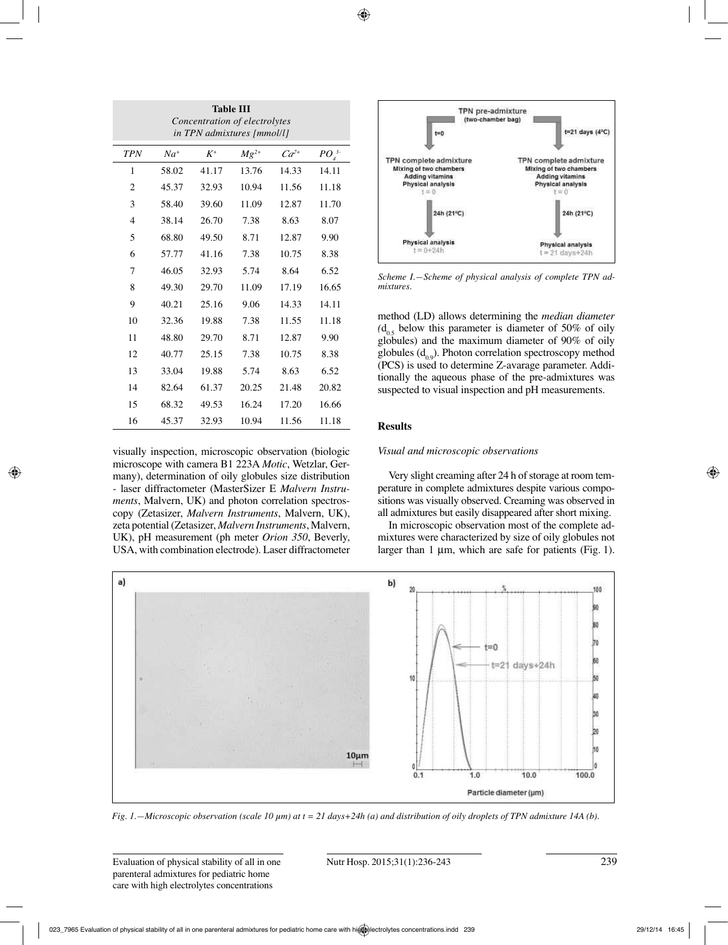| <b>Table III</b><br>Concentration of electrolytes<br>in TPN admixtures [mmol/l] |          |       |           |           |            |  |  |  |
|---------------------------------------------------------------------------------|----------|-------|-----------|-----------|------------|--|--|--|
| <b>TPN</b>                                                                      | $Na^{+}$ | $K^+$ | $Mg^{2+}$ | $Ca^{2+}$ | $PO_4^{3}$ |  |  |  |
| 1                                                                               | 58.02    | 41.17 | 13.76     | 14.33     | 14.11      |  |  |  |
| $\overline{c}$                                                                  | 45.37    | 32.93 | 10.94     | 11.56     | 11.18      |  |  |  |
| 3                                                                               | 58.40    | 39.60 | 11.09     | 12.87     | 11.70      |  |  |  |
| 4                                                                               | 38.14    | 26.70 | 7.38      | 8.63      | 8.07       |  |  |  |
| 5                                                                               | 68.80    | 49.50 | 8.71      | 12.87     | 9.90       |  |  |  |
| 6                                                                               | 57.77    | 41.16 | 7.38      | 10.75     | 8.38       |  |  |  |
| 7                                                                               | 46.05    | 32.93 | 5.74      | 8.64      | 6.52       |  |  |  |
| 8                                                                               | 49.30    | 29.70 | 11.09     | 17.19     | 16.65      |  |  |  |
| 9                                                                               | 40.21    | 25.16 | 9.06      | 14.33     | 14.11      |  |  |  |
| 10                                                                              | 32.36    | 19.88 | 7.38      | 11.55     | 11.18      |  |  |  |
| 11                                                                              | 48.80    | 29.70 | 8.71      | 12.87     | 9.90       |  |  |  |
| 12                                                                              | 40.77    | 25.15 | 7.38      | 10.75     | 8.38       |  |  |  |
| 13                                                                              | 33.04    | 19.88 | 5.74      | 8.63      | 6.52       |  |  |  |
| 14                                                                              | 82.64    | 61.37 | 20.25     | 21.48     | 20.82      |  |  |  |
| 15                                                                              | 68.32    | 49.53 | 16.24     | 17.20     | 16.66      |  |  |  |
| 16                                                                              | 45.37    | 32.93 | 10.94     | 11.56     | 11.18      |  |  |  |

visually inspection, microscopic observation (biologic microscope with camera B1 223A *Motic*, Wetzlar, Germany), determination of oily globules size distribution - laser diffractometer (MasterSizer E *Malvern Instruments*, Malvern, UK) and photon correlation spectroscopy (Zetasizer, *Malvern Instruments*, Malvern, UK), zeta potential (Zetasizer, *Malvern Instruments*, Malvern, UK), pH measurement (ph meter *Orion 350*, Beverly, USA, with combination electrode). Laser diffractometer



*Scheme I.—Scheme of physical analysis of complete TPN admixtures.* 

method (LD) allows determining the *median diameter*   $(d_{0.5})$  below this parameter is diameter of 50% of oily globules) and the maximum diameter of 90% of oily globules  $(d_{00})$ . Photon correlation spectroscopy method (PCS) is used to determine Z-avarage parameter. Additionally the aqueous phase of the pre-admixtures was suspected to visual inspection and pH measurements.

## **Results**

## *Visual and microscopic observations*

Very slight creaming after 24 h of storage at room temperature in complete admixtures despite various compositions was visually observed. Creaming was observed in all admixtures but easily disappeared after short mixing.

In microscopic observation most of the complete admixtures were characterized by size of oily globules not larger than 1 µm, which are safe for patients (Fig. 1).



*Fig. 1.—Microscopic observation (scale 10 µm) at t = 21 days+24h (a) and distribution of oily droplets of TPN admixture 14A (b).*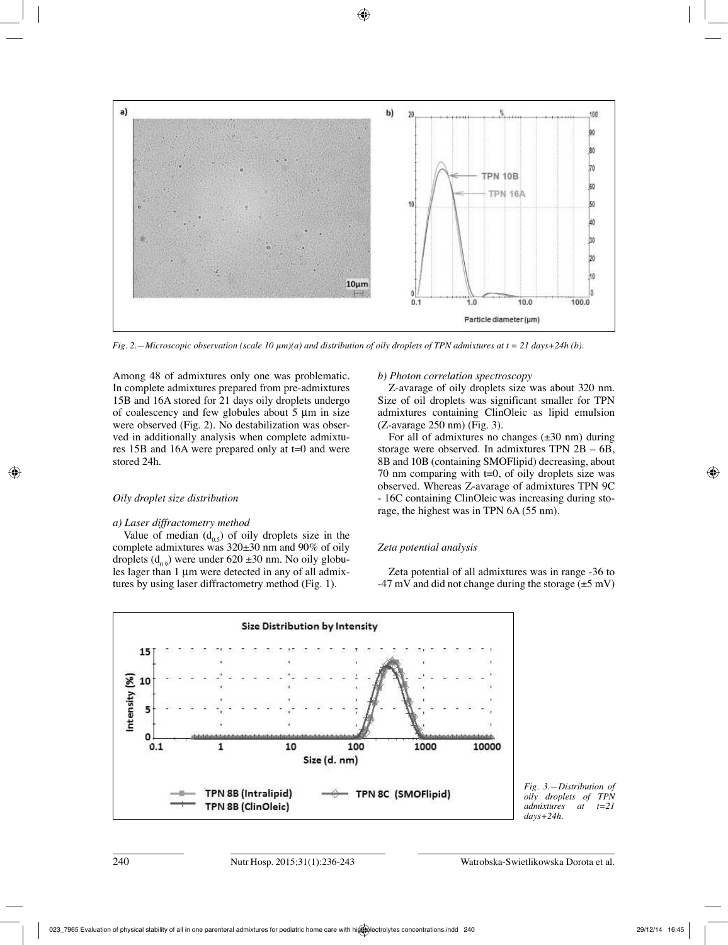

*Fig. 2.—Microscopic observation (scale 10 µm)(a) and distribution of oily droplets of TPN admixtures at t = 21 days+24h (b).*

Among 48 of admixtures only one was problematic. In complete admixtures prepared from pre-admixtures 15B and 16A stored for 21 days oily droplets undergo of coalescency and few globules about 5 µm in size were observed (Fig. 2). No destabilization was observed in additionally analysis when complete admixtures 15B and 16A were prepared only at t=0 and were stored 24h.

#### *Oily droplet size distribution*

#### *a) Laser diffractometry method*

Value of median  $(d_{0.5})$  of oily droplets size in the complete admixtures was 320±30 nm and 90% of oily droplets  $(d_{0.9})$  were under 620 ±30 nm. No oily globules lager than 1 µm were detected in any of all admixtures by using laser diffractometry method (Fig. 1).

#### *b) Photon correlation spectroscopy*

Z-avarage of oily droplets size was about 320 nm. Size of oil droplets was significant smaller for TPN admixtures containing ClinOleic as lipid emulsion (Z-avarage 250 nm) (Fig. 3).

For all of admixtures no changes  $(\pm 30 \text{ nm})$  during storage were observed. In admixtures TPN 2B – 6B, 8B and 10B (containing SMOFlipid) decreasing, about 70 nm comparing with t=0, of oily droplets size was observed. Whereas Z-avarage of admixtures TPN 9C - 16C containing ClinOleic was increasing during storage, the highest was in TPN 6A (55 nm).

#### *Zeta potential analysis*

Zeta potential of all admixtures was in range -36 to  $-47$  mV and did not change during the storage ( $\pm$ 5 mV)



*Fig. 3.—Distribution of oily droplets of TPN*   $admixtures$ *days+24h.*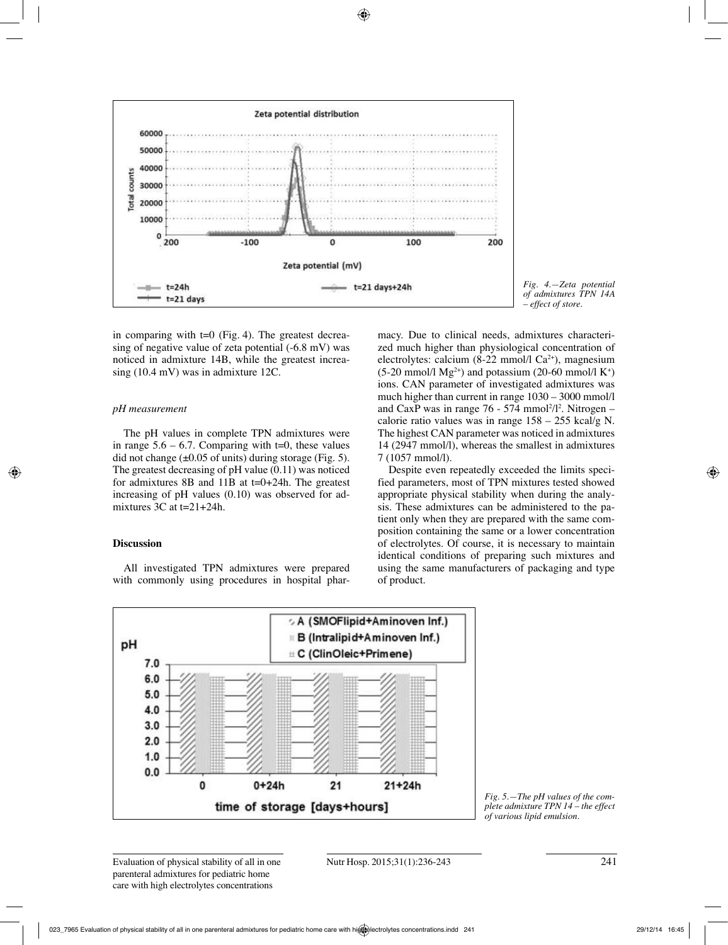

*Fig. 4.—Zeta potential of admixtures TPN 14A – effect of store.*

in comparing with  $t=0$  (Fig. 4). The greatest decreasing of negative value of zeta potential (-6.8 mV) was noticed in admixture 14B, while the greatest increasing (10.4 mV) was in admixture 12C.

#### *pH measurement*

The pH values in complete TPN admixtures were in range  $5.6 - 6.7$ . Comparing with t=0, these values did not change  $(\pm 0.05 \text{ of units})$  during storage (Fig. 5). The greatest decreasing of pH value (0.11) was noticed for admixtures 8B and 11B at  $t=0+24h$ . The greatest increasing of pH values (0.10) was observed for admixtures 3C at t=21+24h.

## **Discussion**

All investigated TPN admixtures were prepared with commonly using procedures in hospital pharmacy. Due to clinical needs, admixtures characterized much higher than physiological concentration of electrolytes: calcium (8-22 mmol/l Ca2+), magnesium  $(5{\text -}20 \text{ mmol/l Mg}^{2+})$  and potassium  $(20{\text -}60 \text{ mmol/l K}^{+})$ ions. CAN parameter of investigated admixtures was much higher than current in range 1030 – 3000 mmol/l and CaxP was in range  $76 - 574$  mmol<sup>2</sup>/l<sup>2</sup>. Nitrogen – calorie ratio values was in range 158 – 255 kcal/g N. The highest CAN parameter was noticed in admixtures 14 (2947 mmol/l), whereas the smallest in admixtures 7 (1057 mmol/l).

Despite even repeatedly exceeded the limits specified parameters, most of TPN mixtures tested showed appropriate physical stability when during the analysis. These admixtures can be administered to the patient only when they are prepared with the same composition containing the same or a lower concentration of electrolytes. Of course, it is necessary to maintain identical conditions of preparing such mixtures and using the same manufacturers of packaging and type of product.



*Fig. 5.—The pH values of the complete admixture TPN 14 – the effect of various lipid emulsion.*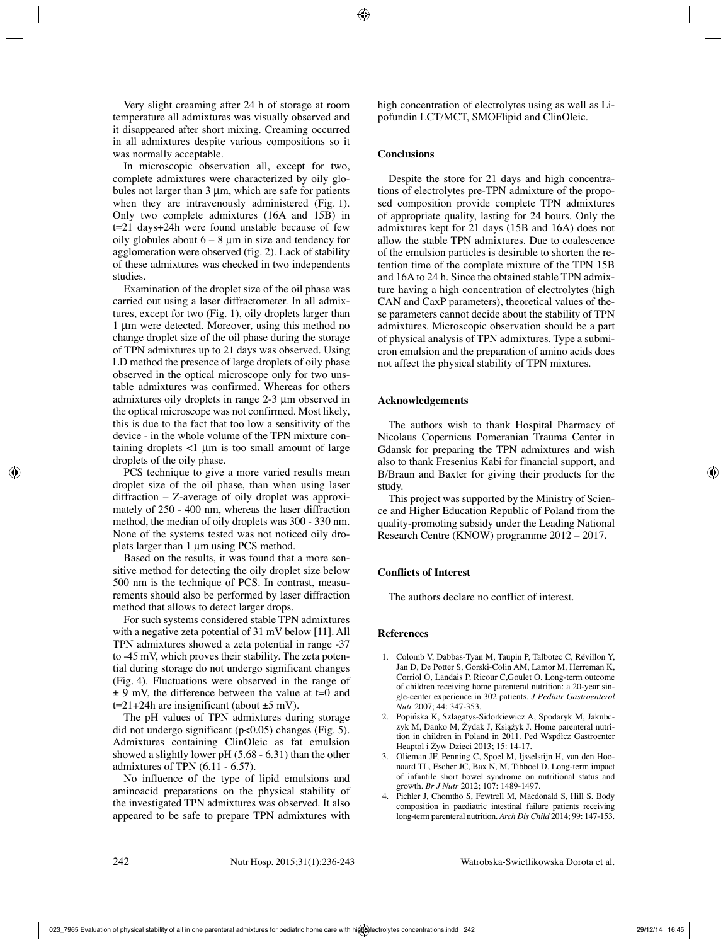Very slight creaming after 24 h of storage at room temperature all admixtures was visually observed and it disappeared after short mixing. Creaming occurred in all admixtures despite various compositions so it was normally acceptable.

In microscopic observation all, except for two, complete admixtures were characterized by oily globules not larger than  $3 \mu m$ , which are safe for patients when they are intravenously administered (Fig. 1). Only two complete admixtures (16A and 15B) in t=21 days+24h were found unstable because of few oily globules about  $6 - 8 \mu m$  in size and tendency for agglomeration were observed (fig. 2). Lack of stability of these admixtures was checked in two independents studies.

Examination of the droplet size of the oil phase was carried out using a laser diffractometer. In all admixtures, except for two (Fig. 1), oily droplets larger than 1 µm were detected. Moreover, using this method no change droplet size of the oil phase during the storage of TPN admixtures up to 21 days was observed. Using LD method the presence of large droplets of oily phase observed in the optical microscope only for two unstable admixtures was confirmed. Whereas for others admixtures oily droplets in range 2-3 µm observed in the optical microscope was not confirmed. Most likely, this is due to the fact that too low a sensitivity of the device - in the whole volume of the TPN mixture containing droplets  $\langle 1 \rangle$  um is too small amount of large droplets of the oily phase.

PCS technique to give a more varied results mean droplet size of the oil phase, than when using laser diffraction – Z-average of oily droplet was approximately of 250 - 400 nm, whereas the laser diffraction method, the median of oily droplets was 300 - 330 nm. None of the systems tested was not noticed oily droplets larger than 1 µm using PCS method.

Based on the results, it was found that a more sensitive method for detecting the oily droplet size below 500 nm is the technique of PCS. In contrast, measurements should also be performed by laser diffraction method that allows to detect larger drops.

For such systems considered stable TPN admixtures with a negative zeta potential of 31 mV below [11]. All TPN admixtures showed a zeta potential in range -37 to -45 mV, which proves their stability. The zeta potential during storage do not undergo significant changes (Fig. 4). Fluctuations were observed in the range of  $\pm$  9 mV, the difference between the value at t=0 and  $t=21+24h$  are insignificant (about  $\pm 5$  mV).

The pH values of TPN admixtures during storage did not undergo significant ( $p<0.05$ ) changes (Fig. 5). Admixtures containing ClinOleic as fat emulsion showed a slightly lower pH (5.68 - 6.31) than the other admixtures of TPN (6.11 - 6.57).

No influence of the type of lipid emulsions and aminoacid preparations on the physical stability of the investigated TPN admixtures was observed. It also appeared to be safe to prepare TPN admixtures with high concentration of electrolytes using as well as Lipofundin LCT/MCT, SMOFlipid and ClinOleic.

## **Conclusions**

Despite the store for 21 days and high concentrations of electrolytes pre-TPN admixture of the proposed composition provide complete TPN admixtures of appropriate quality, lasting for 24 hours. Only the admixtures kept for 21 days (15B and 16A) does not allow the stable TPN admixtures. Due to coalescence of the emulsion particles is desirable to shorten the retention time of the complete mixture of the TPN 15B and 16A to 24 h. Since the obtained stable TPN admixture having a high concentration of electrolytes (high CAN and CaxP parameters), theoretical values of these parameters cannot decide about the stability of TPN admixtures. Microscopic observation should be a part of physical analysis of TPN admixtures. Type a submicron emulsion and the preparation of amino acids does not affect the physical stability of TPN mixtures.

### **Acknowledgements**

The authors wish to thank Hospital Pharmacy of Nicolaus Copernicus Pomeranian Trauma Center in Gdansk for preparing the TPN admixtures and wish also to thank Fresenius Kabi for financial support, and B/Braun and Baxter for giving their products for the study.

This project was supported by the Ministry of Science and Higher Education Republic of Poland from the quality-promoting subsidy under the Leading National Research Centre (KNOW) programme 2012 – 2017.

## **Conflicts of Interest**

The authors declare no conflict of interest.

### **References**

- 1. Colomb V, Dabbas-Tyan M, Taupin P, Talbotec C, Révillon Y, Jan D, De Potter S, Gorski-Colin AM, Lamor M, Herreman K, Corriol O, Landais P, Ricour C,Goulet O. Long-term outcome of children receiving home parenteral nutrition: a 20-year single-center experience in 302 patients. *J Pediatr Gastroenterol Nutr* 2007; 44: 347-353.
- 2. Popińska K, Szlagatys-Sidorkiewicz A, Spodaryk M, Jakubczyk M, Danko M, Żydak J, Książyk J. Home parenteral nutrition in children in Poland in 2011. Ped Współcz Gastroenter Heaptol i Żyw Dzieci 2013; 15: 14-17.
- 3. Olieman JF, Penning C, Spoel M, Ijsselstijn H, van den Hoonaard TL, Escher JC, Bax N, M, Tibboel D. Long-term impact of infantile short bowel syndrome on nutritional status and growth. *Br J Nutr* 2012; 107: 1489-1497.
- 4. Pichler J, Chomtho S, Fewtrell M, Macdonald S, Hill S. Body composition in paediatric intestinal failure patients receiving long-term parenteral nutrition. *Arch Dis Child* 2014; 99: 147-153.